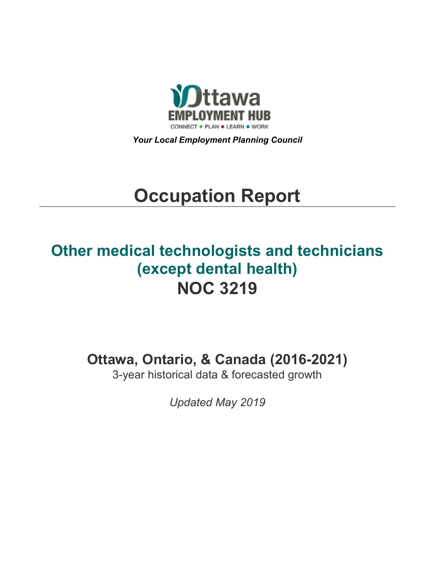

*Your Local Employment Planning Council*

# **Occupation Report**

# **Other medical technologists and technicians (except dental health) NOC 3219**

**Ottawa, Ontario, & Canada (2016-2021)**

3-year historical data & forecasted growth

*Updated May 2019*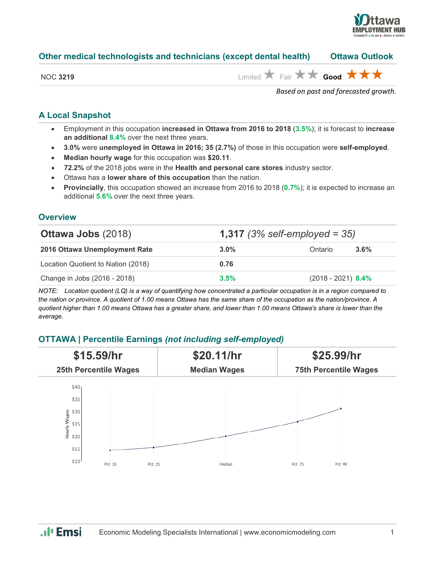

#### **Other medical technologists and technicians (except dental health) Ottawa Outlook**

|  | NOC 3219 |
|--|----------|
|--|----------|

NOC **<sup>3219</sup>** Limited Fair **Good**

*Based on past and forecasted growth.*

# **A Local Snapshot**

- Employment in this occupation **increased in Ottawa from 2016 to 2018** (**3.5%**); it is forecast to **increase an additional 8.4%** over the next three years.
- **3.0%** were **unemployed in Ottawa in 2016; 35 (2.7%)** of those in this occupation were **self-employed**.
- **Median hourly wage** for this occupation was **\$20.11**.
- **72.2%** of the 2018 jobs were in the **Health and personal care stores** industry sector.
- Ottawa has a **lower share of this occupation** than the nation.
- **Provincially**, this occupation showed an increase from 2016 to 2018 (**0.7%**); it is expected to increase an additional **5.6%** over the next three years.

#### **Overview**

| <b>Ottawa Jobs (2018)</b>          | <b>1,317</b> (3% self-employed = 35) |                      |      |
|------------------------------------|--------------------------------------|----------------------|------|
| 2016 Ottawa Unemployment Rate      | $3.0\%$                              | Ontario              | 3.6% |
| Location Quotient to Nation (2018) | 0.76                                 |                      |      |
| Change in Jobs (2016 - 2018)       | 3.5%                                 | $(2018 - 2021)$ 8.4% |      |

*NOTE: Location quotient (LQ) is a way of quantifying how concentrated a particular occupation is in a region compared to the nation or province. A quotient of 1.00 means Ottawa has the same share of the occupation as the nation/province. A quotient higher than 1.00 means Ottawa has a greater share, and lower than 1.00 means Ottawa's share is lower than the average.*

## **OTTAWA | Percentile Earnings** *(not including self-employed)*



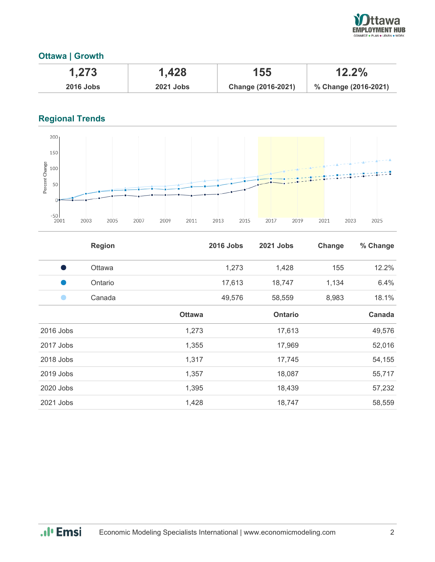

## **Ottawa | Growth**

| 1,273            | 1,428            | 155                | $12.2\%$             |
|------------------|------------------|--------------------|----------------------|
| <b>2016 Jobs</b> | <b>2021 Jobs</b> | Change (2016-2021) | % Change (2016-2021) |

# **Regional Trends**



|           | <b>Region</b> |               | <b>2016 Jobs</b> | 2021 Jobs      | Change | % Change |
|-----------|---------------|---------------|------------------|----------------|--------|----------|
| o a       | Ottawa        |               | 1,273            | 1,428          | 155    | 12.2%    |
|           | Ontario       |               | 17,613           | 18,747         | 1,134  | 6.4%     |
|           | Canada        |               | 49,576           | 58,559         | 8,983  | 18.1%    |
|           |               | <b>Ottawa</b> |                  | <b>Ontario</b> |        | Canada   |
| 2016 Jobs |               | 1,273         |                  | 17,613         |        | 49,576   |
| 2017 Jobs |               | 1,355         |                  | 17,969         |        | 52,016   |
| 2018 Jobs |               | 1,317         |                  | 17,745         |        | 54,155   |
| 2019 Jobs |               | 1,357         |                  | 18,087         |        | 55,717   |
| 2020 Jobs |               | 1,395         |                  | 18,439         |        | 57,232   |
| 2021 Jobs |               | 1,428         |                  | 18,747         |        | 58,559   |

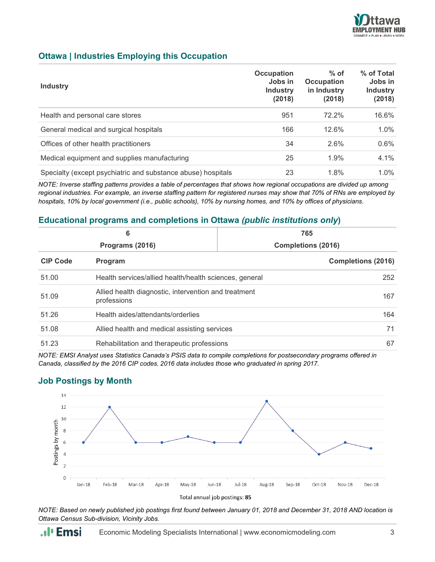

#### **Ottawa | Industries Employing this Occupation**

| <b>Industry</b>                                              | <b>Occupation</b><br>Jobs in<br><b>Industry</b><br>(2018) | $%$ of<br><b>Occupation</b><br>in Industry<br>(2018) | % of Total<br>Jobs in<br><b>Industry</b><br>(2018) |
|--------------------------------------------------------------|-----------------------------------------------------------|------------------------------------------------------|----------------------------------------------------|
| Health and personal care stores                              | 951                                                       | 72.2%                                                | 16.6%                                              |
| General medical and surgical hospitals                       | 166                                                       | 12.6%                                                | $1.0\%$                                            |
| Offices of other health practitioners                        | 34                                                        | 2.6%                                                 | $0.6\%$                                            |
| Medical equipment and supplies manufacturing                 | 25                                                        | 1.9%                                                 | 4.1%                                               |
| Specialty (except psychiatric and substance abuse) hospitals | 23                                                        | 1.8%                                                 | $1.0\%$                                            |

*NOTE: Inverse staffing patterns provides a table of percentages that shows how regional occupations are divided up among regional industries. For example, an inverse staffing pattern for registered nurses may show that 70% of RNs are employed by hospitals, 10% by local government (i.e., public schools), 10% by nursing homes, and 10% by offices of physicians.*

#### **Educational programs and completions in Ottawa** *(public institutions only***)**

| 6<br>Programs (2016) |                                                                     | 765<br><b>Completions (2016)</b> |     |  |
|----------------------|---------------------------------------------------------------------|----------------------------------|-----|--|
|                      |                                                                     |                                  |     |  |
| 51.00                | Health services/allied health/health sciences, general              |                                  | 252 |  |
| 51.09                | Allied health diagnostic, intervention and treatment<br>professions |                                  | 167 |  |
| 51.26                | Health aides/attendants/orderlies                                   |                                  | 164 |  |
| 51.08                | Allied health and medical assisting services                        |                                  | 71  |  |
| 51.23                | Rehabilitation and therapeutic professions                          |                                  | 67  |  |

*NOTE: EMSI Analyst uses Statistics Canada's PSIS data to compile completions for postsecondary programs offered in Canada, classified by the 2016 CIP codes. 2016 data includes those who graduated in spring 2017.*

#### **Job Postings by Month**



*NOTE: Based on newly published job postings first found between January 01, 2018 and December 31, 2018 AND location is Ottawa Census Sub-division, Vicinity Jobs.*